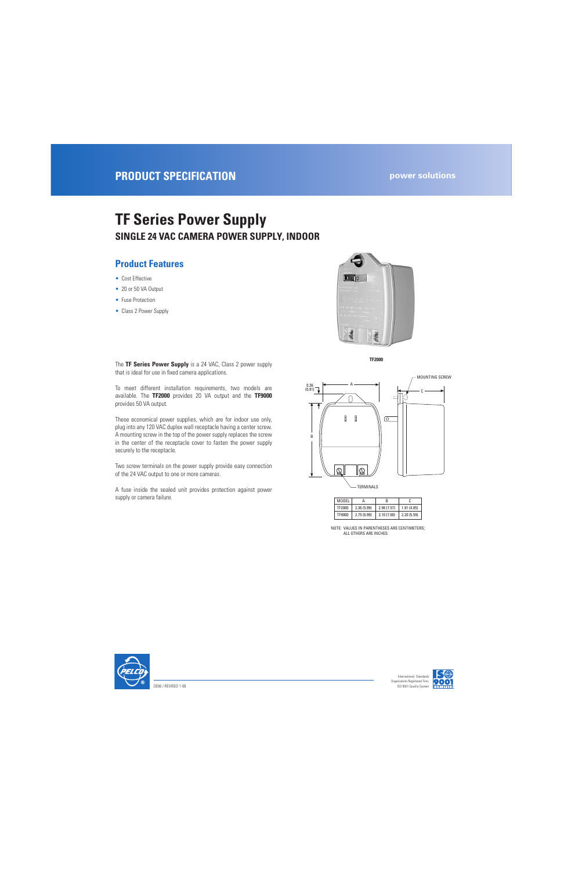# **TF Series Power Supply SINGLE 24 VAC CAMERA POWER SUPPLY, INDOOR**

#### **Product Features**

- Cost Effective
- 20 or 50 VA Output
- Fuse Protection
- Class 2 Power Supply



**TF2000**

The **TF Series Power Supply** is a 24 VAC, Class 2 power supply that is ideal for use in fixed camera applications.

To meet different installation requirements, two models are available. The **TF2000** provides 20 VA output and the **TF9000** provides 50 VA output.

These economical power supplies, which are for indoor use only, plug into any 120 VAC duplex wall receptacle having a center screw. A mounting screw in the top of the power supply replaces the screw in the center of the receptacle cover to fasten the power supply securely to the receptacle.

Two screw terminals on the power supply provide easy connection of the 24 VAC output to one or more cameras.

A fuse inside the sealed unit provides protection against power supply or camera failure.



| MODEL  |            | R          |            |
|--------|------------|------------|------------|
| TF2000 | 2.36(5.99) | 2.98(7.57) | 1.91(4.85) |
| TF9000 | 2.75(6.99) | 3.10(7.88) | 2.20(5.59) |

NOTE: VALUES IN PARENTHESES ARE CENTIMETERS; ALL OTHERS ARE INCHES.